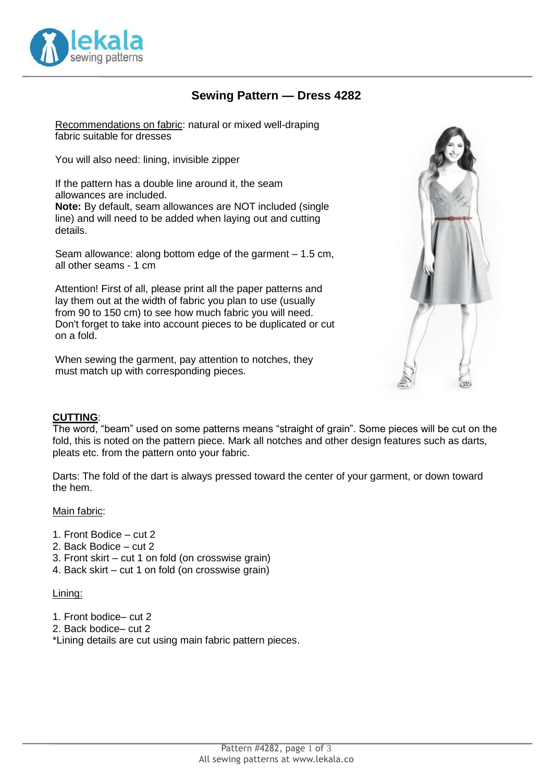

## **Sewing Pattern — Dress 4282**

Recommendations on fabric: natural or mixed well-draping fabric suitable for dresses

You will also need: lining, invisible zipper

If the pattern has a double line around it, the seam allowances are included.

**Note:** By default, seam allowances are NOT included (single line) and will need to be added when laying out and cutting details.

Seam allowance: along bottom edge of the garment – 1.5 cm, all other seams - 1 cm

Attention! First of all, please print all the paper patterns and lay them out at the width of fabric you plan to use (usually from 90 to 150 cm) to see how much fabric you will need. Don't forget to take into account pieces to be duplicated or cut on a fold.

When sewing the garment, pay attention to notches, they must match up with corresponding pieces.



### **CUTTING**:

The word, "beam" used on some patterns means "straight of grain". Some pieces will be cut on the fold, this is noted on the pattern piece. Mark all notches and other design features such as darts, pleats etc. from the pattern onto your fabric.

Darts: The fold of the dart is always pressed toward the center of your garment, or down toward the hem.

#### Main fabric:

- 1. Front Bodice cut 2
- 2. Back Bodice cut 2
- 3. Front skirt cut 1 on fold (on crosswise grain)
- 4. Back skirt cut 1 on fold (on crosswise grain)

#### Lining:

- 1. Front bodice– cut 2
- 2. Back bodice– cut 2

\*Lining details are cut using main fabric pattern pieces.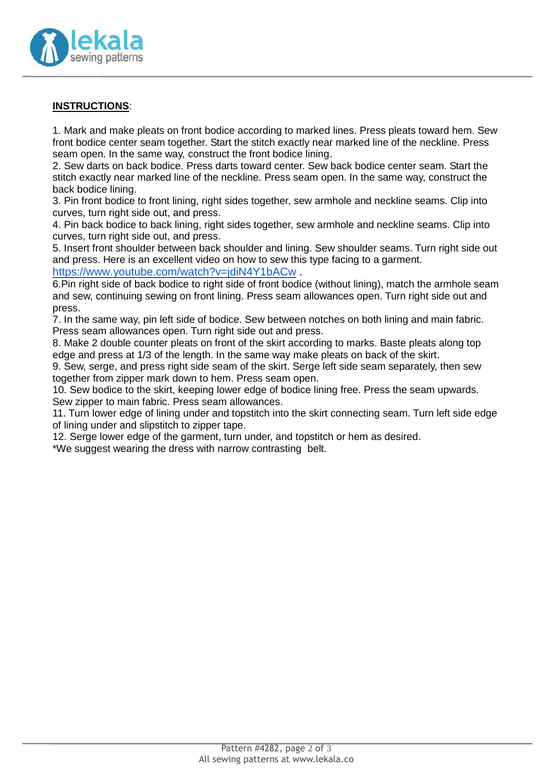

### **INSTRUCTIONS**:

1. Mark and make pleats on front bodice according to marked lines. Press pleats toward hem. Sew front bodice center seam together. Start the stitch exactly near marked line of the neckline. Press seam open. In the same way, construct the front bodice lining.

2. Sew darts on back bodice. Press darts toward center. Sew back bodice center seam. Start the stitch exactly near marked line of the neckline. Press seam open. In the same way, construct the back bodice lining.

3. Pin front bodice to front lining, right sides together, sew armhole and neckline seams. Clip into curves, turn right side out, and press.

4. Pin back bodice to back lining, right sides together, sew armhole and neckline seams. Clip into curves, turn right side out, and press.

5. Insert front shoulder between back shoulder and lining. Sew shoulder seams. Turn right side out and press. Here is an excellent video on how to sew this type facing to a garment.

<https://www.youtube.com/watch?v=jdiN4Y1bACw>.

6.Pin right side of back bodice to right side of front bodice (without lining), match the armhole seam and sew, continuing sewing on front lining. Press seam allowances open. Turn right side out and press.

7. In the same way, pin left side of bodice. Sew between notches on both lining and main fabric. Press seam allowances open. Turn right side out and press.

8. Make 2 double counter pleats on front of the skirt according to marks. Baste pleats along top edge and press at 1/3 of the length. In the same way make pleats on back of the skirt.

9. Sew, serge, and press right side seam of the skirt. Serge left side seam separately, then sew together from zipper mark down to hem. Press seam open.

10. Sew bodice to the skirt, keeping lower edge of bodice lining free. Press the seam upwards. Sew zipper to main fabric. Press seam allowances.

11. Turn lower edge of lining under and topstitch into the skirt connecting seam. Turn left side edge of lining under and slipstitch to zipper tape.

12. Serge lower edge of the garment, turn under, and topstitch or hem as desired.

\*We suggest wearing the dress with narrow contrasting belt.